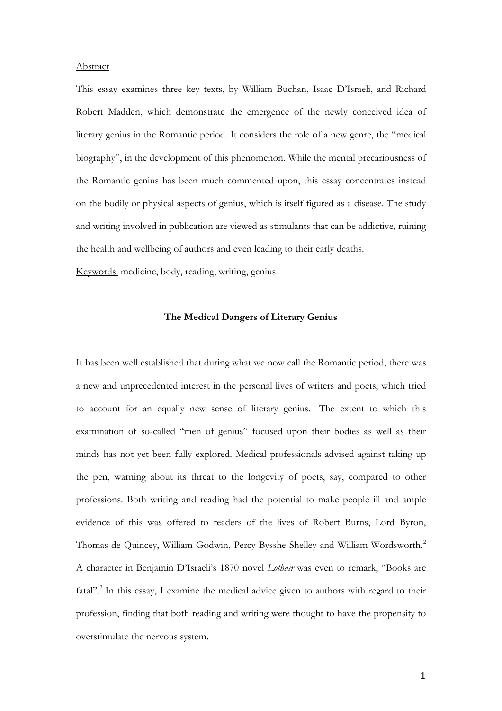#### Abstract

This essay examines three key texts, by William Buchan, Isaac D'Israeli, and Richard Robert Madden, which demonstrate the emergence of the newly conceived idea of literary genius in the Romantic period. It considers the role of a new genre, the "medical biography", in the development of this phenomenon. While the mental precariousness of the Romantic genius has been much commented upon, this essay concentrates instead on the bodily or physical aspects of genius, which is itself figured as a disease. The study and writing involved in publication are viewed as stimulants that can be addictive, ruining the health and wellbeing of authors and even leading to their early deaths.

Keywords: medicine, body, reading, writing, genius

# **The Medical Dangers of Literary Genius**

It has been well established that during what we now call the Romantic period, there was a new and unprecedented interest in the personal lives of writers and poets, which tried to account for an equally new sense of literary genius.<sup>[1](#page-19-0)</sup> The extent to which this examination of so-called "men of genius" focused upon their bodies as well as their minds has not yet been fully explored. Medical professionals advised against taking up the pen, warning about its threat to the longevity of poets, say, compared to other professions. Both writing and reading had the potential to make people ill and ample evidence of this was offered to readers of the lives of Robert Burns, Lord Byron, Thomas de Quincey, William Godwin, Percy Bysshe Shelley and William Wordsworth.[2](#page-19-1) A character in Benjamin D'Israeli's 1870 novel *Lothair* was even to remark, "Books are fatal".<sup>[3](#page-19-2)</sup> In this essay, I examine the medical advice given to authors with regard to their profession, finding that both reading and writing were thought to have the propensity to overstimulate the nervous system.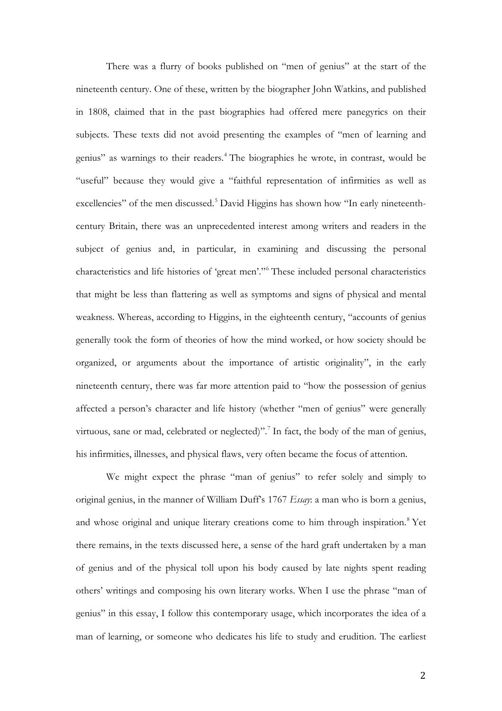There was a flurry of books published on "men of genius" at the start of the nineteenth century. One of these, written by the biographer John Watkins, and published in 1808, claimed that in the past biographies had offered mere panegyrics on their subjects. These texts did not avoid presenting the examples of "men of learning and genius" as warnings to their readers.[4](#page-20-0) The biographies he wrote, in contrast, would be "useful" because they would give a "faithful representation of infirmities as well as excellencies" of the men discussed.<sup>[5](#page-20-1)</sup> David Higgins has shown how "In early nineteenthcentury Britain, there was an unprecedented interest among writers and readers in the subject of genius and, in particular, in examining and discussing the personal characteristics and life histories of 'great men'."[6](#page-20-2) These included personal characteristics that might be less than flattering as well as symptoms and signs of physical and mental weakness. Whereas, according to Higgins, in the eighteenth century, "accounts of genius generally took the form of theories of how the mind worked, or how society should be organized, or arguments about the importance of artistic originality", in the early nineteenth century, there was far more attention paid to "how the possession of genius affected a person's character and life history (whether "men of genius" were generally virtuous, sane or mad, celebrated or neglected)".<sup>[7](#page-20-3)</sup> In fact, the body of the man of genius, his infirmities, illnesses, and physical flaws, very often became the focus of attention.

We might expect the phrase "man of genius" to refer solely and simply to original genius, in the manner of William Duff's 1767 *Essay*: a man who is born a genius, and whose original and unique literary creations come to him through inspiration.<sup>[8](#page-20-4)</sup> Yet there remains, in the texts discussed here, a sense of the hard graft undertaken by a man of genius and of the physical toll upon his body caused by late nights spent reading others' writings and composing his own literary works. When I use the phrase "man of genius" in this essay, I follow this contemporary usage, which incorporates the idea of a man of learning, or someone who dedicates his life to study and erudition. The earliest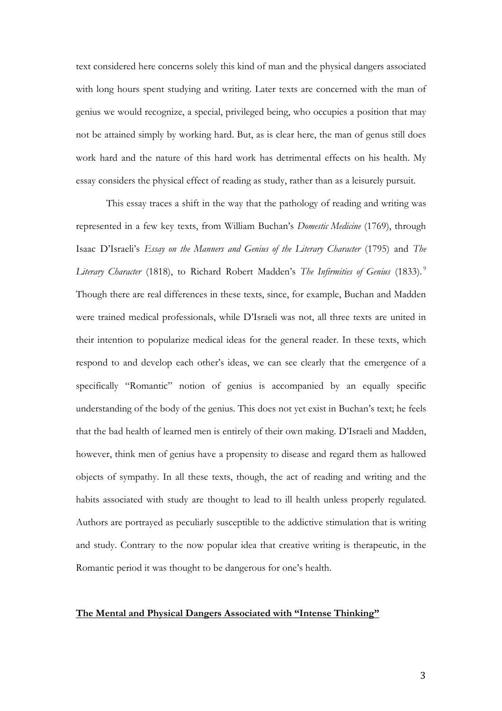text considered here concerns solely this kind of man and the physical dangers associated with long hours spent studying and writing. Later texts are concerned with the man of genius we would recognize, a special, privileged being, who occupies a position that may not be attained simply by working hard. But, as is clear here, the man of genus still does work hard and the nature of this hard work has detrimental effects on his health. My essay considers the physical effect of reading as study, rather than as a leisurely pursuit.

This essay traces a shift in the way that the pathology of reading and writing was represented in a few key texts, from William Buchan's *Domestic Medicine* (1769), through Isaac D'Israeli's *Essay on the Manners and Genius of the Literary Character* (1795) and *The Literary Character* (1818), to Richard Robert Madden's *The Infirmities of Genius* (1833). [9](#page-21-0) Though there are real differences in these texts, since, for example, Buchan and Madden were trained medical professionals, while D'Israeli was not, all three texts are united in their intention to popularize medical ideas for the general reader. In these texts, which respond to and develop each other's ideas, we can see clearly that the emergence of a specifically "Romantic" notion of genius is accompanied by an equally specific understanding of the body of the genius. This does not yet exist in Buchan's text; he feels that the bad health of learned men is entirely of their own making. D'Israeli and Madden, however, think men of genius have a propensity to disease and regard them as hallowed objects of sympathy. In all these texts, though, the act of reading and writing and the habits associated with study are thought to lead to ill health unless properly regulated. Authors are portrayed as peculiarly susceptible to the addictive stimulation that is writing and study. Contrary to the now popular idea that creative writing is therapeutic, in the Romantic period it was thought to be dangerous for one's health.

#### **The Mental and Physical Dangers Associated with "Intense Thinking"**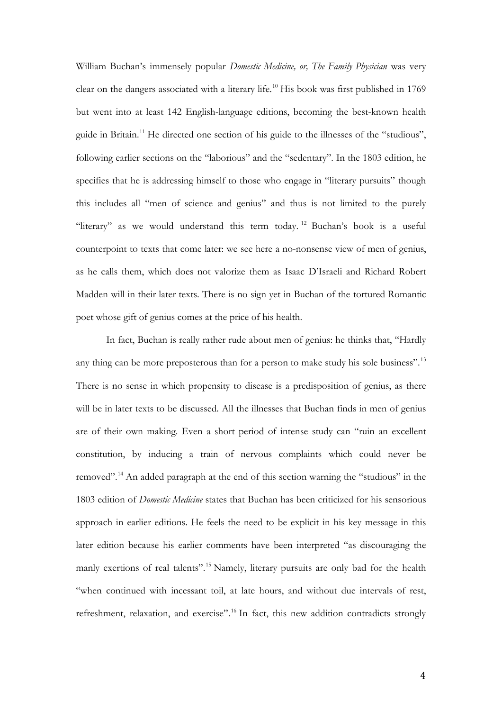William Buchan's immensely popular *Domestic Medicine, or, The Family Physician* was very clear on the dangers associated with a literary life. [10](#page-22-0) His book was first published in 1769 but went into at least 142 English-language editions, becoming the best-known health guide in Britain.<sup>[11](#page-22-1)</sup> He directed one section of his guide to the illnesses of the "studious", following earlier sections on the "laborious" and the "sedentary". In the 1803 edition, he specifies that he is addressing himself to those who engage in "literary pursuits" though this includes all "men of science and genius" and thus is not limited to the purely "literary" as we would understand this term today.<sup>[12](#page-22-2)</sup> Buchan's book is a useful counterpoint to texts that come later: we see here a no-nonsense view of men of genius, as he calls them, which does not valorize them as Isaac D'Israeli and Richard Robert Madden will in their later texts. There is no sign yet in Buchan of the tortured Romantic poet whose gift of genius comes at the price of his health.

In fact, Buchan is really rather rude about men of genius: he thinks that, "Hardly any thing can be more preposterous than for a person to make study his sole business".<sup>[13](#page-22-3)</sup> There is no sense in which propensity to disease is a predisposition of genius, as there will be in later texts to be discussed. All the illnesses that Buchan finds in men of genius are of their own making. Even a short period of intense study can "ruin an excellent constitution, by inducing a train of nervous complaints which could never be removed".[14](#page-22-4) An added paragraph at the end of this section warning the "studious" in the 1803 edition of *Domestic Medicine* states that Buchan has been criticized for his sensorious approach in earlier editions. He feels the need to be explicit in his key message in this later edition because his earlier comments have been interpreted "as discouraging the manly exertions of real talents".<sup>[15](#page-22-5)</sup> Namely, literary pursuits are only bad for the health "when continued with incessant toil, at late hours, and without due intervals of rest, refreshment, relaxation, and exercise".<sup>[16](#page-22-6)</sup> In fact, this new addition contradicts strongly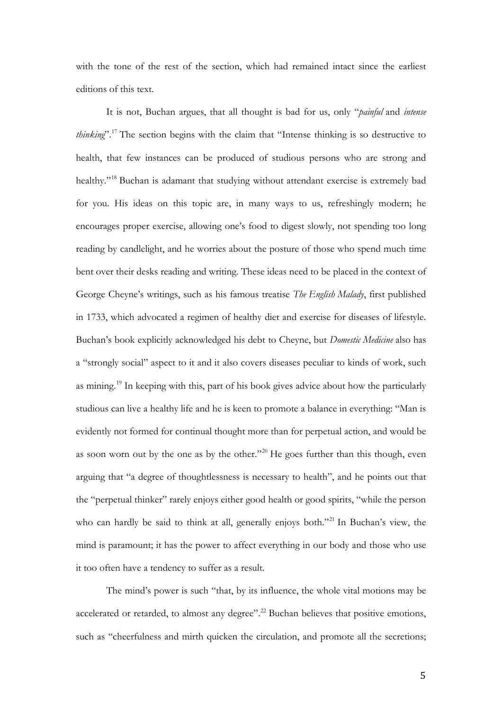with the tone of the rest of the section, which had remained intact since the earliest editions of this text.

It is not, Buchan argues, that all thought is bad for us, only "*painful* and *intense thinking*". [17](#page-23-0) The section begins with the claim that "Intense thinking is so destructive to health, that few instances can be produced of studious persons who are strong and healthy."<sup>[18](#page-23-1)</sup> Buchan is adamant that studying without attendant exercise is extremely bad for you. His ideas on this topic are, in many ways to us, refreshingly modern; he encourages proper exercise, allowing one's food to digest slowly, not spending too long reading by candlelight, and he worries about the posture of those who spend much time bent over their desks reading and writing. These ideas need to be placed in the context of George Cheyne's writings, such as his famous treatise *The English Malady*, first published in 1733, which advocated a regimen of healthy diet and exercise for diseases of lifestyle. Buchan's book explicitly acknowledged his debt to Cheyne, but *Domestic Medicine* also has a "strongly social" aspect to it and it also covers diseases peculiar to kinds of work, such as mining.[19](#page-23-2) In keeping with this, part of his book gives advice about how the particularly studious can live a healthy life and he is keen to promote a balance in everything: "Man is evidently not formed for continual thought more than for perpetual action, and would be as soon worn out by the one as by the other."<sup>[20](#page-23-3)</sup> He goes further than this though, even arguing that "a degree of thoughtlessness is necessary to health", and he points out that the "perpetual thinker" rarely enjoys either good health or good spirits, "while the person who can hardly be said to think at all, generally enjoys both."<sup>[21](#page-23-4)</sup> In Buchan's view, the mind is paramount; it has the power to affect everything in our body and those who use it too often have a tendency to suffer as a result.

The mind's power is such "that, by its influence, the whole vital motions may be accelerated or retarded, to almost any degree".<sup>[22](#page-23-5)</sup> Buchan believes that positive emotions, such as "cheerfulness and mirth quicken the circulation, and promote all the secretions;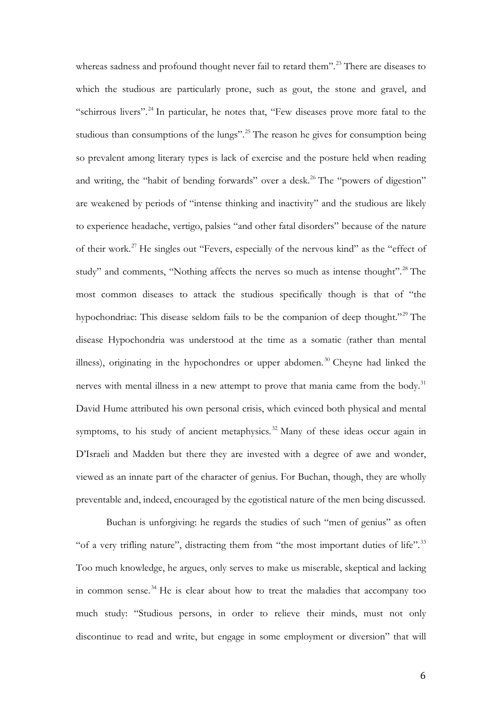whereas sadness and profound thought never fail to retard them".<sup>[23](#page-24-0)</sup> There are diseases to which the studious are particularly prone, such as gout, the stone and gravel, and "schirrous livers".<sup>[24](#page-24-1)</sup> In particular, he notes that, "Few diseases prove more fatal to the studious than consumptions of the lungs".<sup>[25](#page-24-2)</sup> The reason he gives for consumption being so prevalent among literary types is lack of exercise and the posture held when reading and writing, the "habit of bending forwards" over a desk.<sup>[26](#page-24-3)</sup> The "powers of digestion" are weakened by periods of "intense thinking and inactivity" and the studious are likely to experience headache, vertigo, palsies "and other fatal disorders" because of the nature of their work. [27](#page-24-4) He singles out "Fevers, especially of the nervous kind" as the "effect of study" and comments, "Nothing affects the nerves so much as intense thought".<sup>[28](#page-24-5)</sup> The most common diseases to attack the studious specifically though is that of "the hypochondriac: This disease seldom fails to be the companion of deep thought."[29](#page-24-6) The disease Hypochondria was understood at the time as a somatic (rather than mental illness), originating in the hypochondres or upper abdomen. [30](#page-24-7) Cheyne had linked the nerves with mental illness in a new attempt to prove that mania came from the body.<sup>31</sup> David Hume attributed his own personal crisis, which evinced both physical and mental symptoms, to his study of ancient metaphysics.<sup>[32](#page-24-9)</sup> Many of these ideas occur again in D'Israeli and Madden but there they are invested with a degree of awe and wonder, viewed as an innate part of the character of genius. For Buchan, though, they are wholly preventable and, indeed, encouraged by the egotistical nature of the men being discussed.

Buchan is unforgiving: he regards the studies of such "men of genius" as often "of a very trifling nature", distracting them from "the most important duties of life".<sup>[33](#page-24-10)</sup> Too much knowledge, he argues, only serves to make us miserable, skeptical and lacking in common sense. [34](#page-24-11) He is clear about how to treat the maladies that accompany too much study: "Studious persons, in order to relieve their minds, must not only discontinue to read and write, but engage in some employment or diversion" that will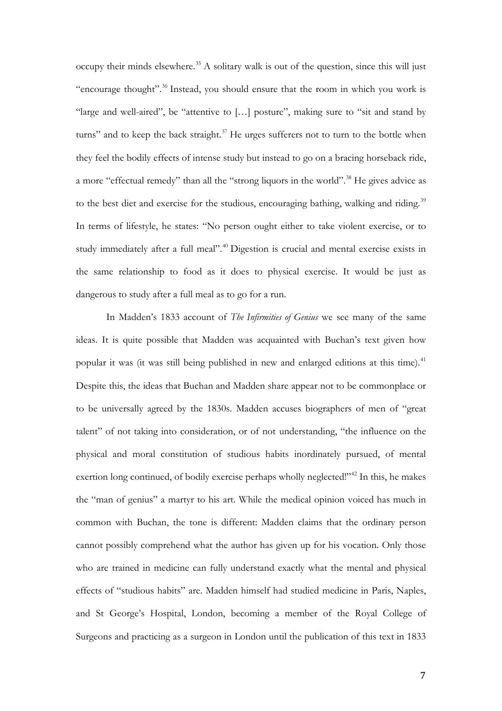occupy their minds elsewhere. [35](#page-25-0) A solitary walk is out of the question, since this will just "encourage thought".[36](#page-25-1) Instead, you should ensure that the room in which you work is "large and well-aired", be "attentive to […] posture", making sure to "sit and stand by turns" and to keep the back straight.<sup>[37](#page-25-2)</sup> He urges sufferers not to turn to the bottle when they feel the bodily effects of intense study but instead to go on a bracing horseback ride, a more "effectual remedy" than all the "strong liquors in the world".<sup>[38](#page-25-3)</sup> He gives advice as to the best diet and exercise for the studious, encouraging bathing, walking and riding.<sup>[39](#page-25-4)</sup> In terms of lifestyle, he states: "No person ought either to take violent exercise, or to study immediately after a full meal".<sup>[40](#page-25-5)</sup> Digestion is crucial and mental exercise exists in the same relationship to food as it does to physical exercise. It would be just as dangerous to study after a full meal as to go for a run.

In Madden's 1833 account of *The Infirmities of Genius* we see many of the same ideas. It is quite possible that Madden was acquainted with Buchan's text given how popular it was (it was still being published in new and enlarged editions at this time).<sup>[41](#page-25-6)</sup> Despite this, the ideas that Buchan and Madden share appear not to be commonplace or to be universally agreed by the 1830s. Madden accuses biographers of men of "great talent" of not taking into consideration, or of not understanding, "the influence on the physical and moral constitution of studious habits inordinately pursued, of mental exertion long continued, of bodily exercise perhaps wholly neglected!"<sup>[42](#page-25-7)</sup> In this, he makes the "man of genius" a martyr to his art. While the medical opinion voiced has much in common with Buchan, the tone is different: Madden claims that the ordinary person cannot possibly comprehend what the author has given up for his vocation. Only those who are trained in medicine can fully understand exactly what the mental and physical effects of "studious habits" are. Madden himself had studied medicine in Paris, Naples, and St George's Hospital, London, becoming a member of the Royal College of Surgeons and practicing as a surgeon in London until the publication of this text in 1833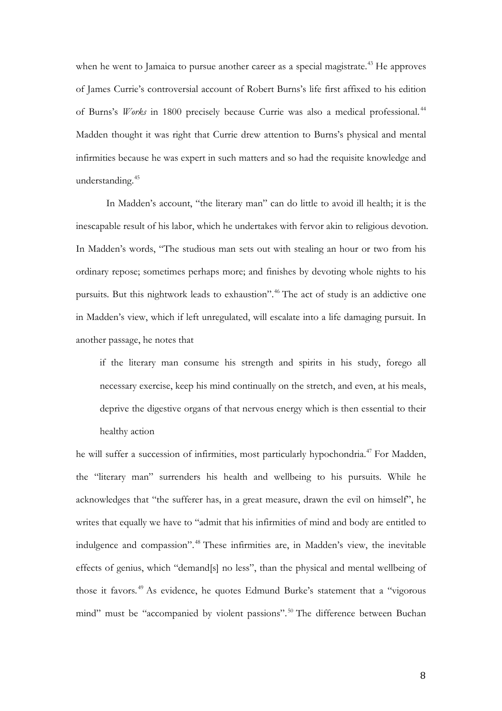when he went to Jamaica to pursue another career as a special magistrate.<sup>[43](#page-26-0)</sup> He approves of James Currie's controversial account of Robert Burns's life first affixed to his edition of Burns's *Works* in 1800 precisely because Currie was also a medical professional. [44](#page-26-1) Madden thought it was right that Currie drew attention to Burns's physical and mental infirmities because he was expert in such matters and so had the requisite knowledge and understanding.<sup>[45](#page-26-2)</sup>

In Madden's account, "the literary man" can do little to avoid ill health; it is the inescapable result of his labor, which he undertakes with fervor akin to religious devotion. In Madden's words, "The studious man sets out with stealing an hour or two from his ordinary repose; sometimes perhaps more; and finishes by devoting whole nights to his pursuits. But this nightwork leads to exhaustion".[46](#page-26-3) The act of study is an addictive one in Madden's view, which if left unregulated, will escalate into a life damaging pursuit. In another passage, he notes that

if the literary man consume his strength and spirits in his study, forego all necessary exercise, keep his mind continually on the stretch, and even, at his meals, deprive the digestive organs of that nervous energy which is then essential to their healthy action

he will suffer a succession of infirmities, most particularly hypochondria. [47](#page-26-4) For Madden, the "literary man" surrenders his health and wellbeing to his pursuits. While he acknowledges that "the sufferer has, in a great measure, drawn the evil on himself", he writes that equally we have to "admit that his infirmities of mind and body are entitled to indulgence and compassion". [48](#page-26-5) These infirmities are, in Madden's view, the inevitable effects of genius, which "demand[s] no less", than the physical and mental wellbeing of those it favors. [49](#page-26-6) As evidence, he quotes Edmund Burke's statement that a "vigorous mind" must be "accompanied by violent passions".<sup>[50](#page-26-7)</sup> The difference between Buchan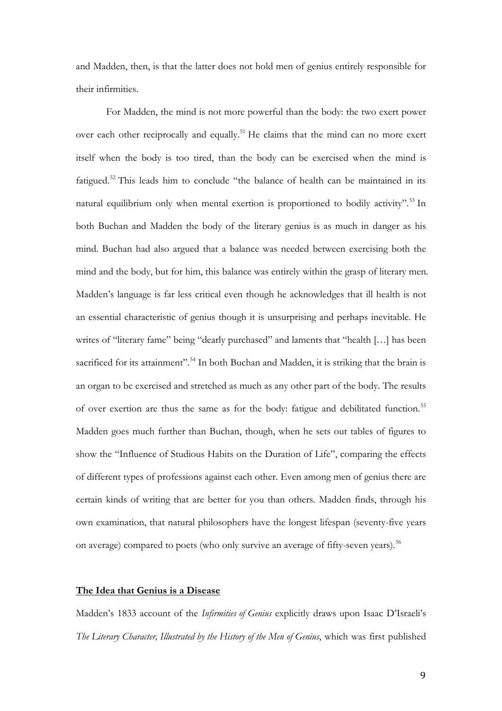and Madden, then, is that the latter does not hold men of genius entirely responsible for their infirmities.

For Madden, the mind is not more powerful than the body: the two exert power over each other reciprocally and equally.<sup>[51](#page-27-0)</sup> He claims that the mind can no more exert itself when the body is too tired, than the body can be exercised when the mind is fatigued.<sup>[52](#page-27-1)</sup> This leads him to conclude "the balance of health can be maintained in its natural equilibrium only when mental exertion is proportioned to bodily activity". [53](#page-27-2) In both Buchan and Madden the body of the literary genius is as much in danger as his mind. Buchan had also argued that a balance was needed between exercising both the mind and the body, but for him, this balance was entirely within the grasp of literary men. Madden's language is far less critical even though he acknowledges that ill health is not an essential characteristic of genius though it is unsurprising and perhaps inevitable. He writes of "literary fame" being "dearly purchased" and laments that "health […] has been sacrificed for its attainment".<sup>[54](#page-27-3)</sup> In both Buchan and Madden, it is striking that the brain is an organ to be exercised and stretched as much as any other part of the body. The results of over exertion are thus the same as for the body: fatigue and debilitated function.<sup>[55](#page-27-4)</sup> Madden goes much further than Buchan, though, when he sets out tables of figures to show the "Influence of Studious Habits on the Duration of Life", comparing the effects of different types of professions against each other. Even among men of genius there are certain kinds of writing that are better for you than others. Madden finds, through his own examination, that natural philosophers have the longest lifespan (seventy-five years on average) compared to poets (who only survive an average of fifty-seven years).<sup>[56](#page-27-5)</sup>

## **The Idea that Genius is a Disease**

Madden's 1833 account of the *Infirmities of Genius* explicitly draws upon Isaac D'Israeli's *The Literary Character, Illustrated by the History of the Men of Genius*, which was first published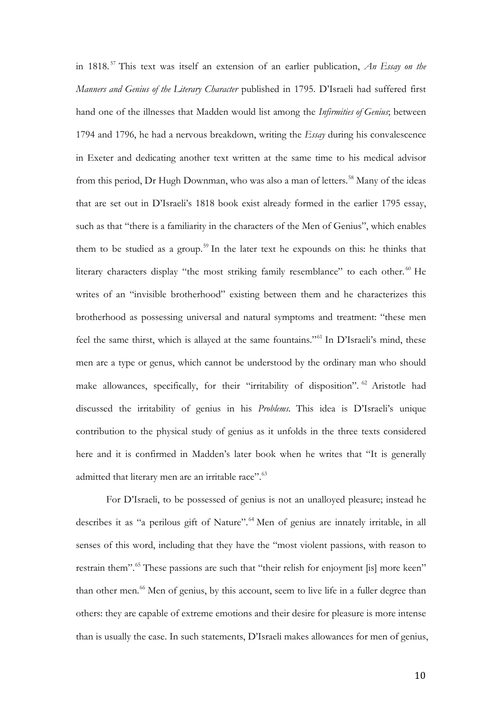in 1818. [57](#page-28-0) This text was itself an extension of an earlier publication, *An Essay on the Manners and Genius of the Literary Character* published in 1795. D'Israeli had suffered first hand one of the illnesses that Madden would list among the *Infirmities of Genius*; between 1794 and 1796, he had a nervous breakdown, writing the *Essay* during his convalescence in Exeter and dedicating another text written at the same time to his medical advisor from this period, Dr Hugh Downman, who was also a man of letters.<sup>[58](#page-28-1)</sup> Many of the ideas that are set out in D'Israeli's 1818 book exist already formed in the earlier 1795 essay, such as that "there is a familiarity in the characters of the Men of Genius", which enables them to be studied as a group. [59](#page-28-2) In the later text he expounds on this: he thinks that literary characters display "the most striking family resemblance" to each other.<sup>[60](#page-28-3)</sup> He writes of an "invisible brotherhood" existing between them and he characterizes this brotherhood as possessing universal and natural symptoms and treatment: "these men feel the same thirst, which is allayed at the same fountains."[61](#page-28-4) In D'Israeli's mind, these men are a type or genus, which cannot be understood by the ordinary man who should make allowances, specifically, for their "irritability of disposition". <sup>[62](#page-28-5)</sup> Aristotle had discussed the irritability of genius in his *Problems*. This idea is D'Israeli's unique contribution to the physical study of genius as it unfolds in the three texts considered here and it is confirmed in Madden's later book when he writes that "It is generally admitted that literary men are an irritable race".<sup>[63](#page-28-6)</sup>

For D'Israeli, to be possessed of genius is not an unalloyed pleasure; instead he describes it as "a perilous gift of Nature".<sup>[64](#page-28-7)</sup> Men of genius are innately irritable, in all senses of this word, including that they have the "most violent passions, with reason to restrain them".<sup>[65](#page-28-8)</sup> These passions are such that "their relish for enjoyment [is] more keen" than other men. [66](#page-28-9) Men of genius, by this account, seem to live life in a fuller degree than others: they are capable of extreme emotions and their desire for pleasure is more intense than is usually the case. In such statements, D'Israeli makes allowances for men of genius,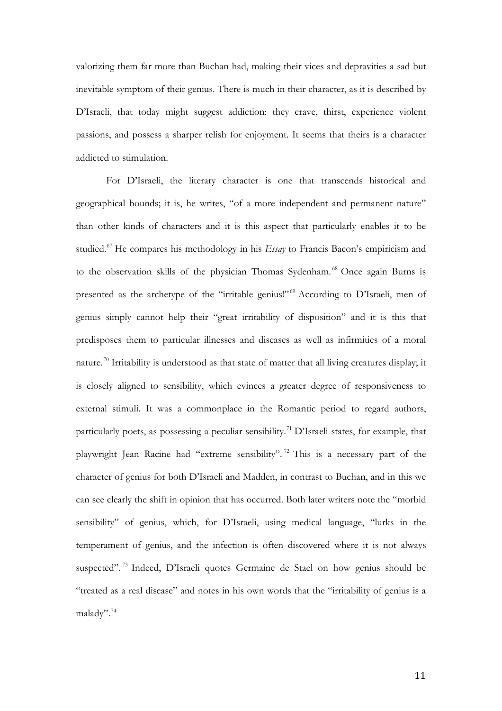valorizing them far more than Buchan had, making their vices and depravities a sad but inevitable symptom of their genius. There is much in their character, as it is described by D'Israeli, that today might suggest addiction: they crave, thirst, experience violent passions, and possess a sharper relish for enjoyment. It seems that theirs is a character addicted to stimulation.

For D'Israeli, the literary character is one that transcends historical and geographical bounds; it is, he writes, "of a more independent and permanent nature" than other kinds of characters and it is this aspect that particularly enables it to be studied. [67](#page-29-0) He compares his methodology in his *Essay* to Francis Bacon's empiricism and to the observation skills of the physician Thomas Sydenham. [68](#page-29-1) Once again Burns is presented as the archetype of the "irritable genius!"<sup>[69](#page-29-2)</sup> According to D'Israeli, men of genius simply cannot help their "great irritability of disposition" and it is this that predisposes them to particular illnesses and diseases as well as infirmities of a moral nature.<sup>[70](#page-29-3)</sup> Irritability is understood as that state of matter that all living creatures display; it is closely aligned to sensibility, which evinces a greater degree of responsiveness to external stimuli. It was a commonplace in the Romantic period to regard authors, particularly poets, as possessing a peculiar sensibility.<sup>[71](#page-29-4)</sup> D'Israeli states, for example, that playwright Jean Racine had "extreme sensibility". [72](#page-29-5) This is a necessary part of the character of genius for both D'Israeli and Madden, in contrast to Buchan, and in this we can see clearly the shift in opinion that has occurred. Both later writers note the "morbid sensibility" of genius, which, for D'Israeli, using medical language, "lurks in the temperament of genius, and the infection is often discovered where it is not always suspected".<sup>[73](#page-29-6)</sup> Indeed, D'Israeli quotes Germaine de Stael on how genius should be "treated as a real disease" and notes in his own words that the "irritability of genius is a malady".[74](#page-29-7)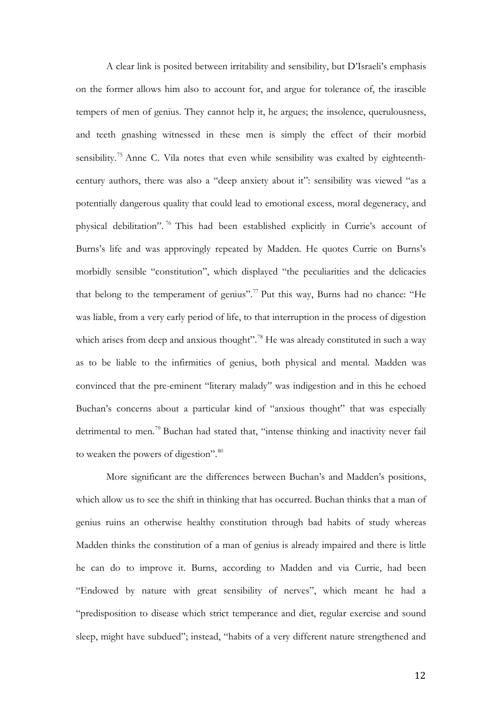A clear link is posited between irritability and sensibility, but D'Israeli's emphasis on the former allows him also to account for, and argue for tolerance of, the irascible tempers of men of genius. They cannot help it, he argues; the insolence, querulousness, and teeth gnashing witnessed in these men is simply the effect of their morbid sensibility.<sup>[75](#page-30-0)</sup> Anne C. Vila notes that even while sensibility was exalted by eighteenthcentury authors, there was also a "deep anxiety about it": sensibility was viewed "as a potentially dangerous quality that could lead to emotional excess, moral degeneracy, and physical debilitation". [76](#page-30-1) This had been established explicitly in Currie's account of Burns's life and was approvingly repeated by Madden. He quotes Currie on Burns's morbidly sensible "constitution", which displayed "the peculiarities and the delicacies that belong to the temperament of genius".<sup>[77](#page-30-2)</sup> Put this way, Burns had no chance: "He was liable, from a very early period of life, to that interruption in the process of digestion which arises from deep and anxious thought".<sup>[78](#page-30-3)</sup> He was already constituted in such a way as to be liable to the infirmities of genius, both physical and mental. Madden was convinced that the pre-eminent "literary malady" was indigestion and in this he echoed Buchan's concerns about a particular kind of "anxious thought" that was especially detrimental to men.<sup>[79](#page-30-4)</sup> Buchan had stated that, "intense thinking and inactivity never fail to weaken the powers of digestion".<sup>[80](#page-30-5)</sup>

More significant are the differences between Buchan's and Madden's positions, which allow us to see the shift in thinking that has occurred. Buchan thinks that a man of genius ruins an otherwise healthy constitution through bad habits of study whereas Madden thinks the constitution of a man of genius is already impaired and there is little he can do to improve it. Burns, according to Madden and via Currie, had been "Endowed by nature with great sensibility of nerves", which meant he had a "predisposition to disease which strict temperance and diet, regular exercise and sound sleep, might have subdued"; instead, "habits of a very different nature strengthened and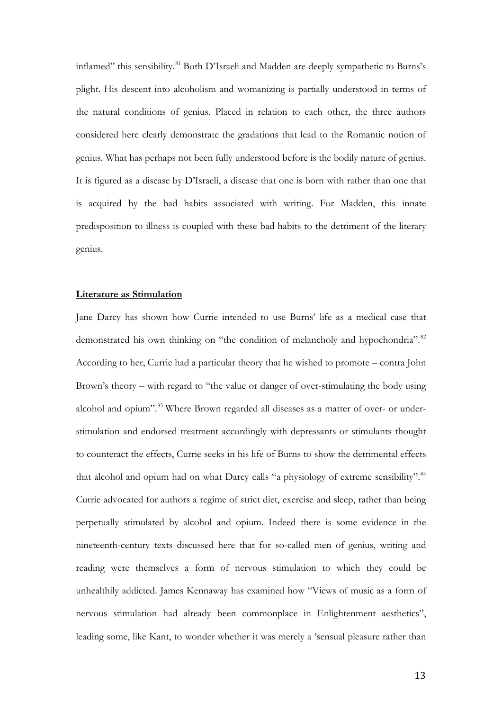inflamed" this sensibility.<sup>[81](#page-31-0)</sup> Both D'Israeli and Madden are deeply sympathetic to Burns's plight. His descent into alcoholism and womanizing is partially understood in terms of the natural conditions of genius. Placed in relation to each other, the three authors considered here clearly demonstrate the gradations that lead to the Romantic notion of genius. What has perhaps not been fully understood before is the bodily nature of genius. It is figured as a disease by D'Israeli, a disease that one is born with rather than one that is acquired by the bad habits associated with writing. For Madden, this innate predisposition to illness is coupled with these bad habits to the detriment of the literary genius.

## **Literature as Stimulation**

Jane Darcy has shown how Currie intended to use Burns' life as a medical case that demonstrated his own thinking on "the condition of melancholy and hypochondria".<sup>[82](#page-31-1)</sup> According to her, Currie had a particular theory that he wished to promote – contra John Brown's theory – with regard to "the value or danger of over-stimulating the body using alcohol and opium".<sup>[83](#page-31-2)</sup> Where Brown regarded all diseases as a matter of over- or understimulation and endorsed treatment accordingly with depressants or stimulants thought to counteract the effects, Currie seeks in his life of Burns to show the detrimental effects that alcohol and opium had on what Darcy calls "a physiology of extreme sensibility".<sup>[84](#page-31-3)</sup> Currie advocated for authors a regime of strict diet, exercise and sleep, rather than being perpetually stimulated by alcohol and opium. Indeed there is some evidence in the nineteenth-century texts discussed here that for so-called men of genius, writing and reading were themselves a form of nervous stimulation to which they could be unhealthily addicted. James Kennaway has examined how "Views of music as a form of nervous stimulation had already been commonplace in Enlightenment aesthetics", leading some, like Kant, to wonder whether it was merely a 'sensual pleasure rather than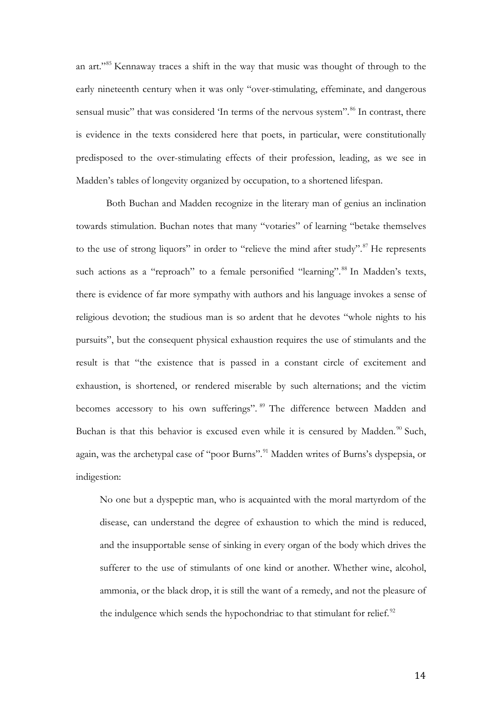an art."[85](#page-32-0) Kennaway traces a shift in the way that music was thought of through to the early nineteenth century when it was only "over-stimulating, effeminate, and dangerous sensual music" that was considered 'In terms of the nervous system".<sup>[86](#page-32-1)</sup> In contrast, there is evidence in the texts considered here that poets, in particular, were constitutionally predisposed to the over-stimulating effects of their profession, leading, as we see in Madden's tables of longevity organized by occupation, to a shortened lifespan.

Both Buchan and Madden recognize in the literary man of genius an inclination towards stimulation. Buchan notes that many "votaries" of learning "betake themselves to the use of strong liquors" in order to "relieve the mind after study".<sup>[87](#page-32-2)</sup> He represents such actions as a "reproach" to a female personified "learning".<sup>[88](#page-32-3)</sup> In Madden's texts, there is evidence of far more sympathy with authors and his language invokes a sense of religious devotion; the studious man is so ardent that he devotes "whole nights to his pursuits", but the consequent physical exhaustion requires the use of stimulants and the result is that "the existence that is passed in a constant circle of excitement and exhaustion, is shortened, or rendered miserable by such alternations; and the victim becomes accessory to his own sufferings". <sup>[89](#page-32-4)</sup> The difference between Madden and Buchan is that this behavior is excused even while it is censured by Madden. $90$  Such, again, was the archetypal case of "poor Burns".<sup>[91](#page-32-6)</sup> Madden writes of Burns's dyspepsia, or indigestion:

No one but a dyspeptic man, who is acquainted with the moral martyrdom of the disease, can understand the degree of exhaustion to which the mind is reduced, and the insupportable sense of sinking in every organ of the body which drives the sufferer to the use of stimulants of one kind or another. Whether wine, alcohol, ammonia, or the black drop, it is still the want of a remedy, and not the pleasure of the indulgence which sends the hypochondriac to that stimulant for relief.<sup>[92](#page-32-7)</sup>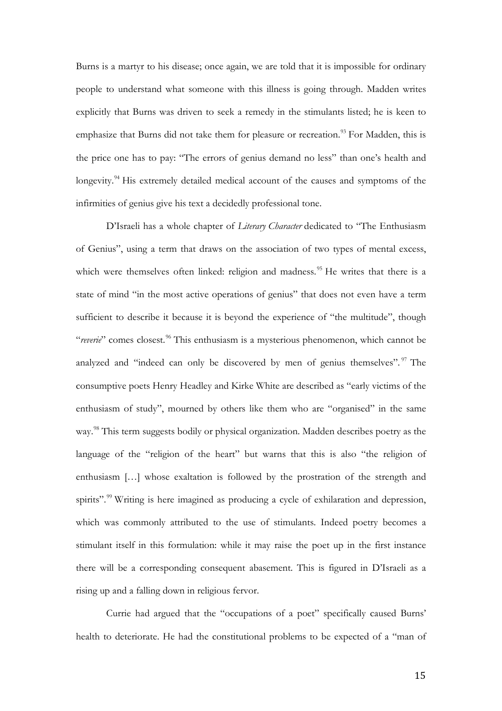Burns is a martyr to his disease; once again, we are told that it is impossible for ordinary people to understand what someone with this illness is going through. Madden writes explicitly that Burns was driven to seek a remedy in the stimulants listed; he is keen to emphasize that Burns did not take them for pleasure or recreation.<sup>[93](#page-33-0)</sup> For Madden, this is the price one has to pay: "The errors of genius demand no less" than one's health and longevity.<sup>[94](#page-33-1)</sup> His extremely detailed medical account of the causes and symptoms of the infirmities of genius give his text a decidedly professional tone.

D'Israeli has a whole chapter of *Literary Character* dedicated to "The Enthusiasm of Genius", using a term that draws on the association of two types of mental excess, which were themselves often linked: religion and madness.<sup>[95](#page-33-2)</sup> He writes that there is a state of mind "in the most active operations of genius" that does not even have a term sufficient to describe it because it is beyond the experience of "the multitude", though "*reverie*" comes closest. [96](#page-33-3) This enthusiasm is a mysterious phenomenon, which cannot be analyzed and "indeed can only be discovered by men of genius themselves". <sup>[97](#page-33-4)</sup> The consumptive poets Henry Headley and Kirke White are described as "early victims of the enthusiasm of study", mourned by others like them who are "organised" in the same way.<sup>[98](#page-33-5)</sup> This term suggests bodily or physical organization. Madden describes poetry as the language of the "religion of the heart" but warns that this is also "the religion of enthusiasm […] whose exaltation is followed by the prostration of the strength and spirits".<sup>[99](#page-33-6)</sup> Writing is here imagined as producing a cycle of exhilaration and depression, which was commonly attributed to the use of stimulants. Indeed poetry becomes a stimulant itself in this formulation: while it may raise the poet up in the first instance there will be a corresponding consequent abasement. This is figured in D'Israeli as a rising up and a falling down in religious fervor.

Currie had argued that the "occupations of a poet" specifically caused Burns' health to deteriorate. He had the constitutional problems to be expected of a "man of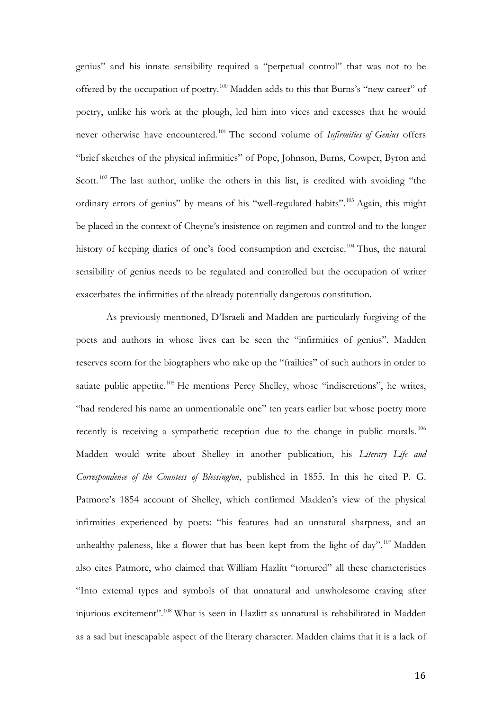genius" and his innate sensibility required a "perpetual control" that was not to be offered by the occupation of poetry.[100](#page-33-7) Madden adds to this that Burns's "new career" of poetry, unlike his work at the plough, led him into vices and excesses that he would never otherwise have encountered. [101](#page-33-8) The second volume of *Infirmities of Genius* offers "brief sketches of the physical infirmities" of Pope, Johnson, Burns, Cowper, Byron and Scott.<sup>[102](#page-33-9)</sup> The last author, unlike the others in this list, is credited with avoiding "the ordinary errors of genius" by means of his "well-regulated habits".<sup>[103](#page-33-10)</sup> Again, this might be placed in the context of Cheyne's insistence on regimen and control and to the longer history of keeping diaries of one's food consumption and exercise.<sup>[104](#page-33-11)</sup> Thus, the natural sensibility of genius needs to be regulated and controlled but the occupation of writer exacerbates the infirmities of the already potentially dangerous constitution.

As previously mentioned, D'Israeli and Madden are particularly forgiving of the poets and authors in whose lives can be seen the "infirmities of genius". Madden reserves scorn for the biographers who rake up the "frailties" of such authors in order to satiate public appetite.<sup>[105](#page-33-12)</sup> He mentions Percy Shelley, whose "indiscretions", he writes, "had rendered his name an unmentionable one" ten years earlier but whose poetry more recently is receiving a sympathetic reception due to the change in public morals.<sup>[106](#page-33-13)</sup> Madden would write about Shelley in another publication, his *Literary Life and Correspondence of the Countess of Blessington*, published in 1855. In this he cited P. G. Patmore's 1854 account of Shelley, which confirmed Madden's view of the physical infirmities experienced by poets: "his features had an unnatural sharpness, and an unhealthy paleness, like a flower that has been kept from the light of day".<sup>[107](#page-33-0)</sup> Madden also cites Patmore, who claimed that William Hazlitt "tortured" all these characteristics "Into external types and symbols of that unnatural and unwholesome craving after injurious excitement".[108](#page-33-14) What is seen in Hazlitt as unnatural is rehabilitated in Madden as a sad but inescapable aspect of the literary character. Madden claims that it is a lack of

16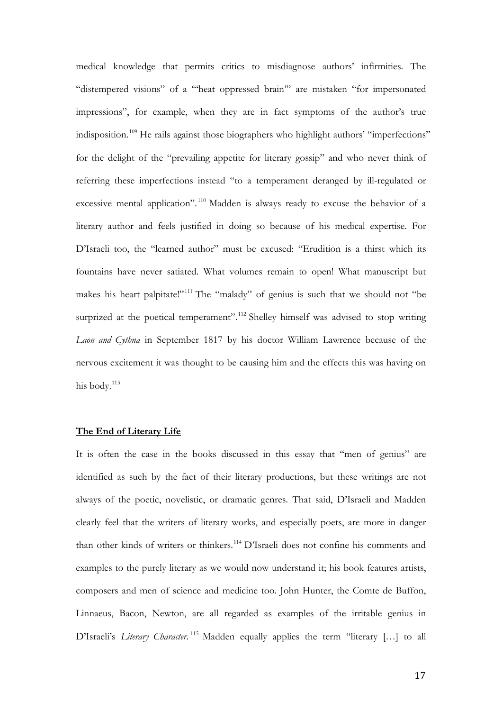medical knowledge that permits critics to misdiagnose authors' infirmities. The "distempered visions" of a "'heat oppressed brain'" are mistaken "for impersonated impressions", for example, when they are in fact symptoms of the author's true indisposition. [109](#page-33-3) He rails against those biographers who highlight authors' "imperfections" for the delight of the "prevailing appetite for literary gossip" and who never think of referring these imperfections instead "to a temperament deranged by ill-regulated or excessive mental application".<sup>[110](#page-33-4)</sup> Madden is always ready to excuse the behavior of a literary author and feels justified in doing so because of his medical expertise. For D'Israeli too, the "learned author" must be excused: "Erudition is a thirst which its fountains have never satiated. What volumes remain to open! What manuscript but makes his heart palpitate!"<sup>[111](#page-33-5)</sup> The "malady" of genius is such that we should not "be surprized at the poetical temperament".<sup>[112](#page-33-15)</sup> Shelley himself was advised to stop writing *Laon and Cythna* in September 1817 by his doctor William Lawrence because of the nervous excitement it was thought to be causing him and the effects this was having on his body.<sup>[113](#page-33-16)</sup>

## **The End of Literary Life**

It is often the case in the books discussed in this essay that "men of genius" are identified as such by the fact of their literary productions, but these writings are not always of the poetic, novelistic, or dramatic genres. That said, D'Israeli and Madden clearly feel that the writers of literary works, and especially poets, are more in danger than other kinds of writers or thinkers.[114](#page-33-6) D'Israeli does not confine his comments and examples to the purely literary as we would now understand it; his book features artists, composers and men of science and medicine too. John Hunter, the Comte de Buffon, Linnaeus, Bacon, Newton, are all regarded as examples of the irritable genius in D'Israeli's *Literary Character*.<sup>[115](#page-33-8)</sup> Madden equally applies the term "literary [...] to all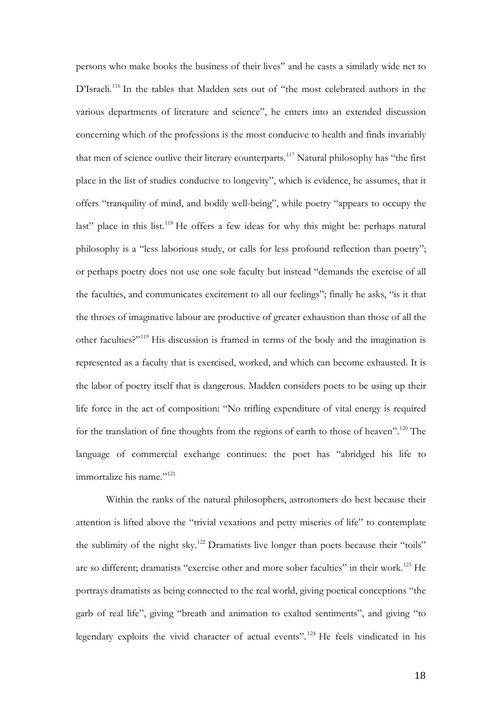persons who make books the business of their lives" and he casts a similarly wide net to D'Israeli.<sup>[116](#page-33-12)</sup> In the tables that Madden sets out of "the most celebrated authors in the various departments of literature and science", he enters into an extended discussion concerning which of the professions is the most conducive to health and finds invariably that men of science outlive their literary counterparts.<sup>[117](#page-33-13)</sup> Natural philosophy has "the first place in the list of studies conducive to longevity", which is evidence, he assumes, that it offers "tranquility of mind, and bodily well-being", while poetry "appears to occupy the last" place in this list.<sup>[118](#page-33-0)</sup> He offers a few ideas for why this might be: perhaps natural philosophy is a "less laborious study, or calls for less profound reflection than poetry"; or perhaps poetry does not use one sole faculty but instead "demands the exercise of all the faculties, and communicates excitement to all our feelings"; finally he asks, "is it that the throes of imaginative labour are productive of greater exhaustion than those of all the other faculties?"[119](#page-33-17) His discussion is framed in terms of the body and the imagination is represented as a faculty that is exercised, worked, and which can become exhausted. It is the labor of poetry itself that is dangerous. Madden considers poets to be using up their life force in the act of composition: "No trifling expenditure of vital energy is required for the translation of fine thoughts from the regions of earth to those of heaven".<sup>[120](#page-33-14)</sup> The language of commercial exchange continues: the poet has "abridged his life to immortalize his name."<sup>[121](#page-33-18)</sup>

Within the ranks of the natural philosophers, astronomers do best because their attention is lifted above the "trivial vexations and petty miseries of life" to contemplate the sublimity of the night sky.<sup>[122](#page-33-19)</sup> Dramatists live longer than poets because their "toils" are so different; dramatists "exercise other and more sober faculties" in their work.<sup>[123](#page-33-1)</sup> He portrays dramatists as being connected to the real world, giving poetical conceptions "the garb of real life", giving "breath and animation to exalted sentiments", and giving "to legendary exploits the vivid character of actual events".<sup>[124](#page-33-2)</sup> He feels vindicated in his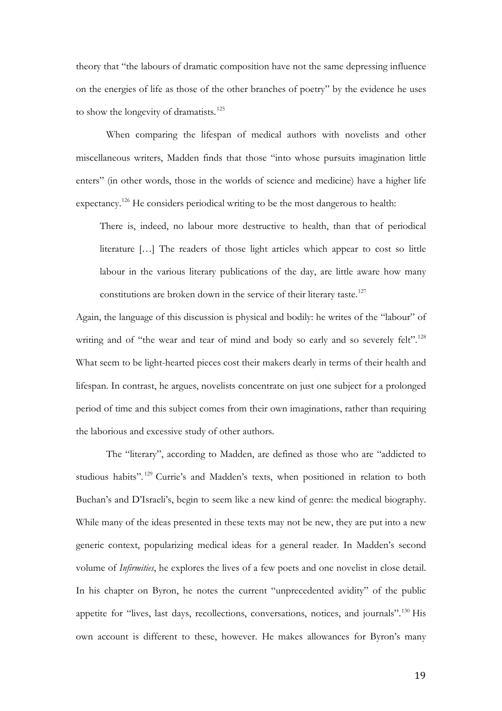theory that "the labours of dramatic composition have not the same depressing influence on the energies of life as those of the other branches of poetry" by the evidence he uses to show the longevity of dramatists.<sup>[125](#page-33-20)</sup>

When comparing the lifespan of medical authors with novelists and other miscellaneous writers, Madden finds that those "into whose pursuits imagination little enters" (in other words, those in the worlds of science and medicine) have a higher life expectancy.<sup>[126](#page-33-21)</sup> He considers periodical writing to be the most dangerous to health:

There is, indeed, no labour more destructive to health, than that of periodical literature […] The readers of those light articles which appear to cost so little labour in the various literary publications of the day, are little aware how many constitutions are broken down in the service of their literary taste.<sup>[127](#page-33-22)</sup>

Again, the language of this discussion is physical and bodily: he writes of the "labour" of writing and of "the wear and tear of mind and body so early and so severely felt".<sup>[128](#page-33-3)</sup> What seem to be light-hearted pieces cost their makers dearly in terms of their health and lifespan. In contrast, he argues, novelists concentrate on just one subject for a prolonged period of time and this subject comes from their own imaginations, rather than requiring the laborious and excessive study of other authors.

The "literary", according to Madden, are defined as those who are "addicted to studious habits".<sup>[129](#page-33-4)</sup> Currie's and Madden's texts, when positioned in relation to both Buchan's and D'Israeli's, begin to seem like a new kind of genre: the medical biography. While many of the ideas presented in these texts may not be new, they are put into a new generic context, popularizing medical ideas for a general reader. In Madden's second volume of *Infirmities*, he explores the lives of a few poets and one novelist in close detail. In his chapter on Byron, he notes the current "unprecedented avidity" of the public appetite for "lives, last days, recollections, conversations, notices, and journals".<sup>[130](#page-33-16)</sup> His own account is different to these, however. He makes allowances for Byron's many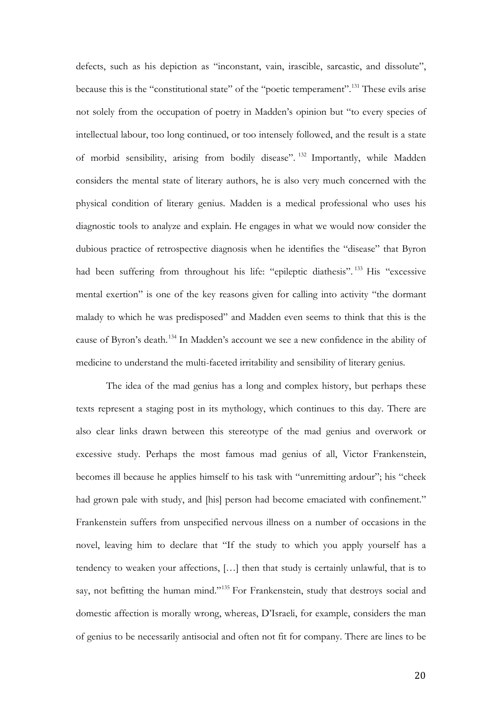defects, such as his depiction as "inconstant, vain, irascible, sarcastic, and dissolute", because this is the "constitutional state" of the "poetic temperament".<sup>[131](#page-33-6)</sup> These evils arise not solely from the occupation of poetry in Madden's opinion but "to every species of intellectual labour, too long continued, or too intensely followed, and the result is a state of morbid sensibility, arising from bodily disease". [132](#page-33-7) Importantly, while Madden considers the mental state of literary authors, he is also very much concerned with the physical condition of literary genius. Madden is a medical professional who uses his diagnostic tools to analyze and explain. He engages in what we would now consider the dubious practice of retrospective diagnosis when he identifies the "disease" that Byron had been suffering from throughout his life: "epileptic diathesis".<sup>[133](#page-33-23)</sup> His "excessive mental exertion" is one of the key reasons given for calling into activity "the dormant malady to which he was predisposed" and Madden even seems to think that this is the cause of Byron's death.[134](#page-33-24) In Madden's account we see a new confidence in the ability of medicine to understand the multi-faceted irritability and sensibility of literary genius.

<span id="page-19-2"></span><span id="page-19-1"></span><span id="page-19-0"></span>The idea of the mad genius has a long and complex history, but perhaps these texts represent a staging post in its mythology, which continues to this day. There are also clear links drawn between this stereotype of the mad genius and overwork or excessive study. Perhaps the most famous mad genius of all, Victor Frankenstein, becomes ill because he applies himself to his task with "unremitting ardour"; his "cheek had grown pale with study, and [his] person had become emaciated with confinement." Frankenstein suffers from unspecified nervous illness on a number of occasions in the novel, leaving him to declare that "If the study to which you apply yourself has a tendency to weaken your affections, […] then that study is certainly unlawful, that is to say, not befitting the human mind."<sup>[135](#page-33-8)</sup> For Frankenstein, study that destroys social and domestic affection is morally wrong, whereas, D'Israeli, for example, considers the man of genius to be necessarily antisocial and often not fit for company. There are lines to be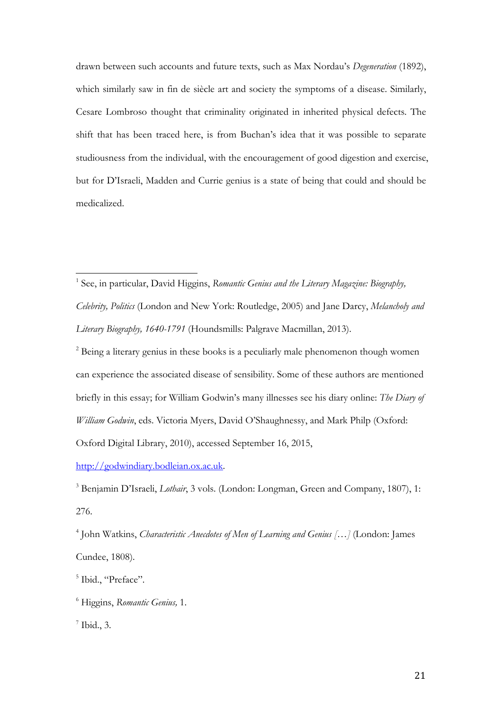<span id="page-20-4"></span>drawn between such accounts and future texts, such as Max Nordau's *Degeneration* (1892), which similarly saw in fin de siècle art and society the symptoms of a disease. Similarly, Cesare Lombroso thought that criminality originated in inherited physical defects. The shift that has been traced here, is from Buchan's idea that it was possible to separate studiousness from the individual, with the encouragement of good digestion and exercise, but for D'Israeli, Madden and Currie genius is a state of being that could and should be medicalized.

<sup>1</sup> See, in particular, David Higgins, *Romantic Genius and the Literary Magazine: Biography*, *Celebrity, Politics* (London and New York: Routledge, 2005) and Jane Darcy, *Melancholy and Literary Biography, 1640-1791* (Houndsmills: Palgrave Macmillan, 2013).

<sup>2</sup> Being a literary genius in these books is a peculiarly male phenomenon though women can experience the associated disease of sensibility. Some of these authors are mentioned briefly in this essay; for William Godwin's many illnesses see his diary online: *The Diary of William Godwin*, eds. Victoria Myers, David O'Shaughnessy, and Mark Philp (Oxford: Oxford Digital Library, 2010), accessed September 16, 2015,

[http://godwindiary.bodleian.ox.ac.uk.](http://godwindiary.bodleian.ox.ac.uk/)

<sup>3</sup> Benjamin D'Israeli, *Lothair*, 3 vols. (London: Longman, Green and Company, 1807), 1: 276.

<span id="page-20-0"></span><sup>4</sup> John Watkins, *Characteristic Anecdotes of Men of Learning and Genius […]* (London: James Cundee, 1808).

<span id="page-20-3"></span><sup>7</sup> Ibid., 3.

<span id="page-20-1"></span><sup>&</sup>lt;sup>5</sup> Ibid., "Preface".

<span id="page-20-2"></span><sup>6</sup> Higgins, *Romantic Genius,* 1.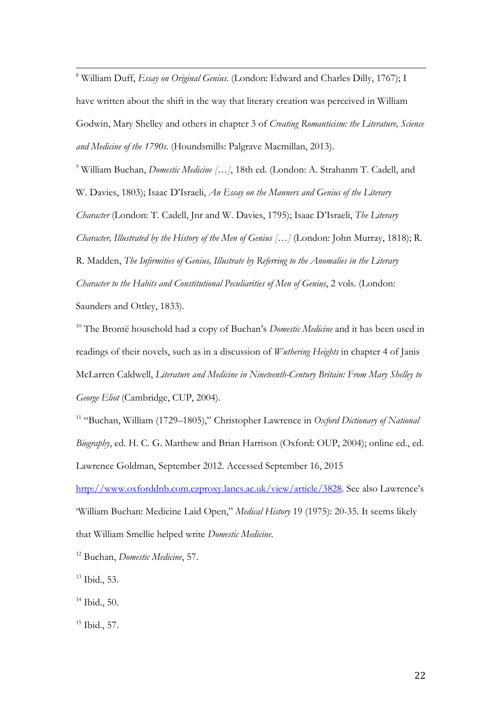<sup>8</sup> William Duff, *Essay on Original Genius*. (London: Edward and Charles Dilly, 1767); I have written about the shift in the way that literary creation was perceived in William Godwin, Mary Shelley and others in chapter 3 of *Creating Romanticism: the Literature, Science and Medicine of the 1790s*. (Houndsmills: Palgrave Macmillan, 2013).

<span id="page-21-0"></span><sup>9</sup> William Buchan, *Domestic Medicine [...]*, 18th ed. (London: A. Strahanm T. Cadell, and W. Davies, 1803); Isaac D'Israeli, *An Essay on the Manners and Genius of the Literary Character* (London: T. Cadell, Jnr and W. Davies, 1795); Isaac D'Israeli, *The Literary Character, Illustrated by the History of the Men of Genius […]* (London: John Murray, 1818); R. R. Madden, *The Infirmities of Genius, Illustrate by Referring to the Anomalies in the Literary Character to the Habits and Constitutional Peculiarities of Men of Genius*, 2 vols. (London: Saunders and Ottley, 1833).

<sup>10</sup> The Brontë household had a copy of Buchan's *Domestic Medicine* and it has been used in readings of their novels, such as in a discussion of *Wuthering Heights* in chapter 4 of Janis McLarren Caldwell, *Literature and Medicine in Nineteenth-Century Britain: From Mary Shelley to George Eliot* (Cambridge, CUP, 2004).

<sup>11</sup> "Buchan, William (1729–1805)," Christopher Lawrence in *Oxford Dictionary of National Biography*, ed. H. C. G. Matthew and Brian Harrison (Oxford: OUP, 2004); online ed., ed. Lawrence Goldman, September 2012. Accessed September 16, 2015

[http://www.oxforddnb.com.ezproxy.lancs.ac.uk/view/article/3828.](http://www.oxforddnb.com.ezproxy.lancs.ac.uk/view/article/3828) See also Lawrence's 'William Buchan: Medicine Laid Open," *Medical History* 19 (1975): 20-35. It seems likely that William Smellie helped write *Domestic Medicine*.

<sup>12</sup> Buchan, *Domestic Medicine*, 57.

<sup>13</sup> Ibid., 53.

<sup>14</sup> Ibid., 50.

<sup>15</sup> Ibid., 57.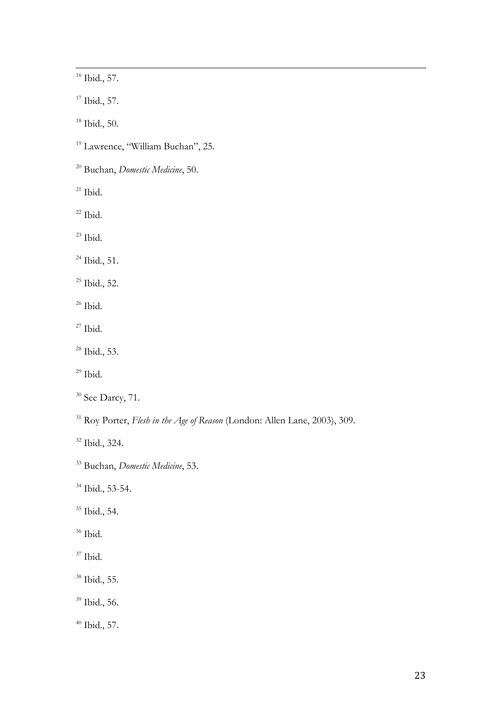<span id="page-22-6"></span><sup>16</sup> Ibid., 57.

<sup>17</sup> Ibid., 57.

Ibid., 50.

<sup>19</sup> Lawrence, "William Buchan", 25.

Buchan, *Domestic Medicine*, 50.

Ibid.

Ibid.

Ibid.

Ibid., 51.

Ibid., 52.

Ibid.

<span id="page-22-0"></span>Ibid.

Ibid., 53.

Ibid.

<sup>30</sup> See Darcy, 71.

<span id="page-22-1"></span>Roy Porter, *Flesh in the Age of Reason* (London: Allen Lane, 2003), 309.

Ibid., 324.

Buchan, *Domestic Medicine*, 53.

Ibid., 53-54.

<sup>35</sup> Ibid., 54.

Ibid.

<span id="page-22-2"></span> $^{37}$  Ibid.

<span id="page-22-3"></span>Ibid., 55.

<span id="page-22-4"></span>Ibid., 56.

<span id="page-22-5"></span>Ibid., 57.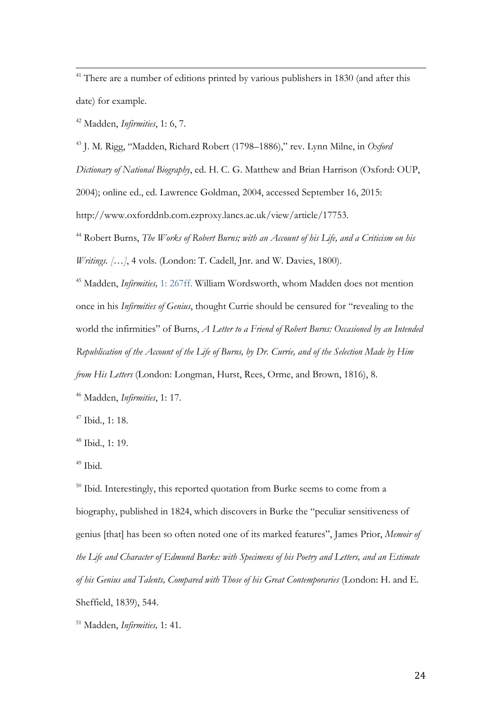<sup>41</sup> There are a number of editions printed by various publishers in 1830 (and after this date) for example.

<span id="page-23-1"></span><span id="page-23-0"></span><sup>42</sup> Madden, *Infirmities*, 1: 6, 7.

<span id="page-23-2"></span><sup>43</sup> J. M. Rigg, "Madden, Richard Robert (1798–1886)," rev. Lynn Milne, in *Oxford* 

<span id="page-23-3"></span>*Dictionary of National Biography*, ed. H. C. G. Matthew and Brian Harrison (Oxford: OUP,

<span id="page-23-4"></span>2004); online ed., ed. Lawrence Goldman, 2004, accessed September 16, 2015:

<span id="page-23-5"></span>http://www.oxforddnb.com.ezproxy.lancs.ac.uk/view/article/17753.

<sup>44</sup> Robert Burns, *The Works of Robert Burns; with an Account of his Life, and a Criticism on his Writings. […]*, 4 vols. (London: T. Cadell, Jnr. and W. Davies, 1800).

<sup>45</sup> Madden, *Infirmities,* 1: 267ff. William Wordsworth, whom Madden does not mention once in his *Infirmities of Genius*, thought Currie should be censured for "revealing to the world the infirmities" of Burns, *A Letter to a Friend of Robert Burns: Occasioned by an Intended Republication of the Account of the Life of Burns, by Dr. Currie, and of the Selection Made by Him from His Letters* (London: Longman, Hurst, Rees, Orme, and Brown, 1816), 8.

<sup>46</sup> Madden, *Infirmities*, 1: 17.

<sup>47</sup> Ibid., 1: 18.

<sup>48</sup> Ibid., 1: 19.

<sup>49</sup> Ibid.

<sup>50</sup> Ibid. Interestingly, this reported quotation from Burke seems to come from a biography, published in 1824, which discovers in Burke the "peculiar sensitiveness of genius [that] has been so often noted one of its marked features", James Prior, *Memoir of the Life and Character of Edmund Burke: with Specimens of his Poetry and Letters, and an Estimate of his Genius and Talents, Compared with Those of his Great Contemporaries* (London: H. and E. Sheffield, 1839), 544.

<sup>51</sup> Madden, *Infirmities,* 1: 41.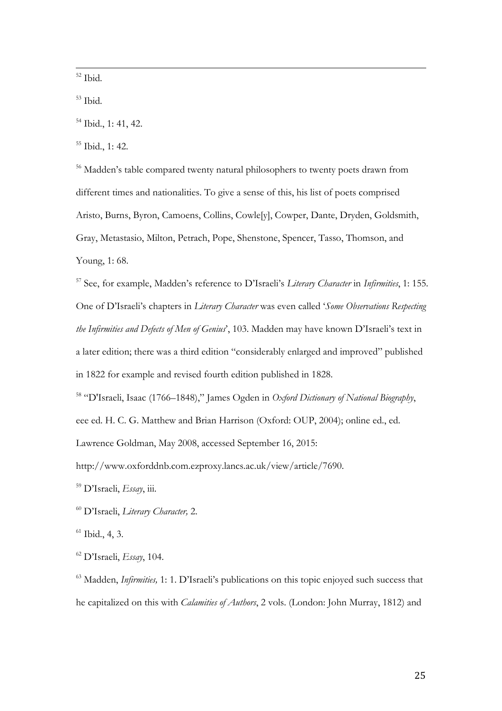<sup>52</sup> Ibid.

<sup>53</sup> Ibid.

<sup>55</sup> Ibid., 1: 42.

<sup>56</sup> Madden's table compared twenty natural philosophers to twenty poets drawn from different times and nationalities. To give a sense of this, his list of poets comprised Aristo, Burns, Byron, Camoens, Collins, Cowle[y], Cowper, Dante, Dryden, Goldsmith, Gray, Metastasio, Milton, Petrach, Pope, Shenstone, Spencer, Tasso, Thomson, and Young, 1: 68.

<span id="page-24-4"></span><span id="page-24-3"></span><span id="page-24-2"></span><span id="page-24-1"></span><span id="page-24-0"></span><sup>57</sup> See, for example, Madden's reference to D'Israeli's *Literary Character* in *Infirmities*, 1: 155. One of D'Israeli's chapters in *Literary Character* was even called '*Some Observations Respecting the Infirmities and Defects of Men of Genius*', 103. Madden may have known D'Israeli's text in a later edition; there was a third edition "considerably enlarged and improved" published in 1822 for example and revised fourth edition published in 1828.

<span id="page-24-7"></span><span id="page-24-6"></span><span id="page-24-5"></span><sup>58</sup> "D'Israeli, Isaac (1766–1848)," James Ogden in *Oxford Dictionary of National Biography*, eee ed. H. C. G. Matthew and Brian Harrison (Oxford: OUP, 2004); online ed., ed.

<span id="page-24-9"></span><span id="page-24-8"></span>Lawrence Goldman, May 2008, accessed September 16, 2015:

<span id="page-24-10"></span>http://www.oxforddnb.com.ezproxy.lancs.ac.uk/view/article/7690.

<span id="page-24-11"></span><sup>59</sup> D'Israeli, *Essay*, iii.

<sup>60</sup> D'Israeli, *Literary Character,* 2.

 $<sup>61</sup>$  Ibid., 4, 3.</sup>

<sup>62</sup> D'Israeli, *Essay*, 104.

<sup>63</sup> Madden, *Infirmities,* 1: 1. D'Israeli's publications on this topic enjoyed such success that he capitalized on this with *Calamities of Authors*, 2 vols. (London: John Murray, 1812) and

<sup>&</sup>lt;sup>54</sup> Ibid., 1: 41, 42.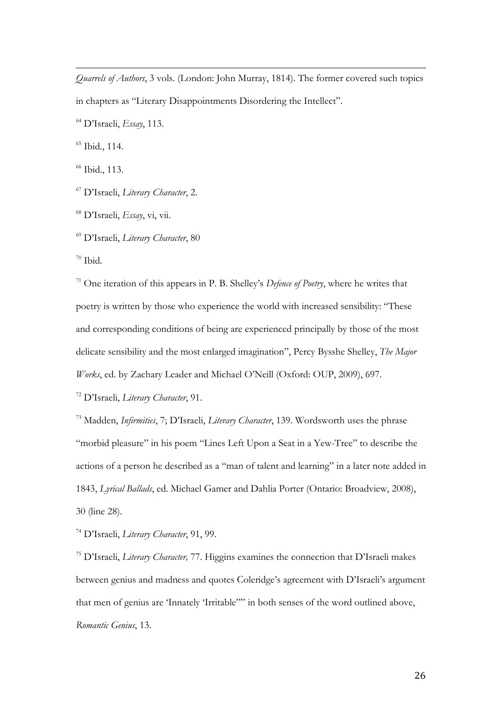<span id="page-25-6"></span>j *Quarrels of Authors*, 3 vols. (London: John Murray, 1814). The former covered such topics in chapters as "Literary Disappointments Disordering the Intellect".

<span id="page-25-7"></span><sup>64</sup> D'Israeli, *Essay*, 113.

<sup>65</sup> Ibid., 114.

<sup>66</sup> Ibid., 113.

<sup>67</sup> D'Israeli, *Literary Character*, 2.

<sup>68</sup> D'Israeli, *Essay*, vi, vii.

<sup>69</sup> D'Israeli, *Literary Character*, 80

 $70$  Ibid.

<sup>71</sup> One iteration of this appears in P. B. Shelley's *Defence of Poetry*, where he writes that poetry is written by those who experience the world with increased sensibility: "These and corresponding conditions of being are experienced principally by those of the most delicate sensibility and the most enlarged imagination", Percy Bysshe Shelley, *The Major Works*, ed. by Zachary Leader and Michael O'Neill (Oxford: OUP, 2009), 697.

<sup>72</sup> D'Israeli, *Literary Character*, 91.

<sup>73</sup> Madden, *Infirmities*, 7; D'Israeli, *Literary Character*, 139. Wordsworth uses the phrase "morbid pleasure" in his poem "Lines Left Upon a Seat in a Yew-Tree" to describe the actions of a person he described as a "man of talent and learning" in a later note added in 1843, *Lyrical Ballads*, ed. Michael Gamer and Dahlia Porter (Ontario: Broadview, 2008), 30 (line 28).

<span id="page-25-1"></span><span id="page-25-0"></span><sup>74</sup> D'Israeli, *Literary Character*, 91, 99.

<span id="page-25-5"></span><span id="page-25-4"></span><span id="page-25-3"></span><span id="page-25-2"></span><sup>75</sup> D'Israeli, *Literary Character,* 77. Higgins examines the connection that D'Israeli makes between genius and madness and quotes Coleridge's agreement with D'Israeli's argument that men of genius are 'Innately 'Irritable"" in both senses of the word outlined above, *Romantic Genius*, 13.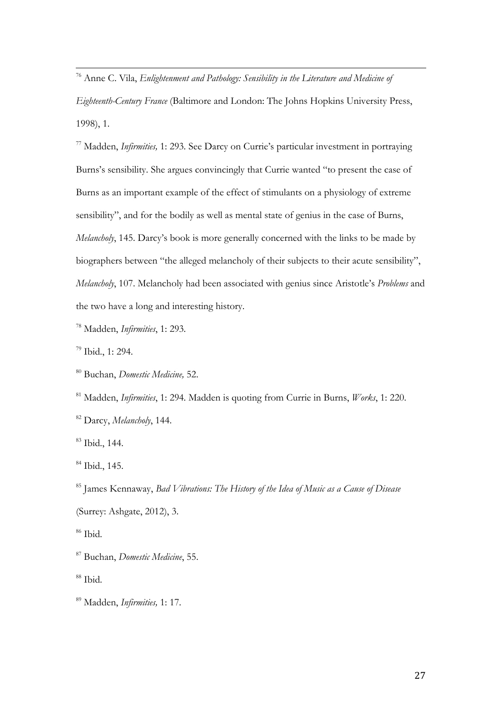<sup>76</sup> Anne C. Vila, *Enlightenment and Pathology: Sensibility in the Literature and Medicine of* 

*Eighteenth-Century France* (Baltimore and London: The Johns Hopkins University Press, 1998), 1.

<span id="page-26-0"></span><sup>77</sup> Madden, *Infirmities,* 1: 293. See Darcy on Currie's particular investment in portraying Burns's sensibility. She argues convincingly that Currie wanted "to present the case of Burns as an important example of the effect of stimulants on a physiology of extreme sensibility", and for the bodily as well as mental state of genius in the case of Burns, *Melancholy*, 145. Darcy's book is more generally concerned with the links to be made by biographers between "the alleged melancholy of their subjects to their acute sensibility", *Melancholy*, 107. Melancholy had been associated with genius since Aristotle's *Problems* and the two have a long and interesting history.

<span id="page-26-2"></span><span id="page-26-1"></span><sup>78</sup> Madden, *Infirmities*, 1: 293.

<sup>79</sup> Ibid., 1: 294.

<sup>80</sup> Buchan, *Domestic Medicine,* 52.

<span id="page-26-3"></span><sup>81</sup> Madden, *Infirmities*, 1: 294. Madden is quoting from Currie in Burns, *Works*, 1: 220.

<span id="page-26-4"></span><sup>82</sup> Darcy, *Melancholy*, 144.

<span id="page-26-5"></span><sup>83</sup> Ibid., 144.

<span id="page-26-6"></span><sup>84</sup> Ibid., 145.

<span id="page-26-7"></span><sup>85</sup> James Kennaway, *Bad Vibrations: The History of the Idea of Music as a Cause of Disease* (Surrey: Ashgate, 2012), 3.

<sup>86</sup> Ibid.

<sup>87</sup> Buchan, *Domestic Medicine*, 55.

<sup>88</sup> Ibid.

<sup>89</sup> Madden, *Infirmities,* 1: 17.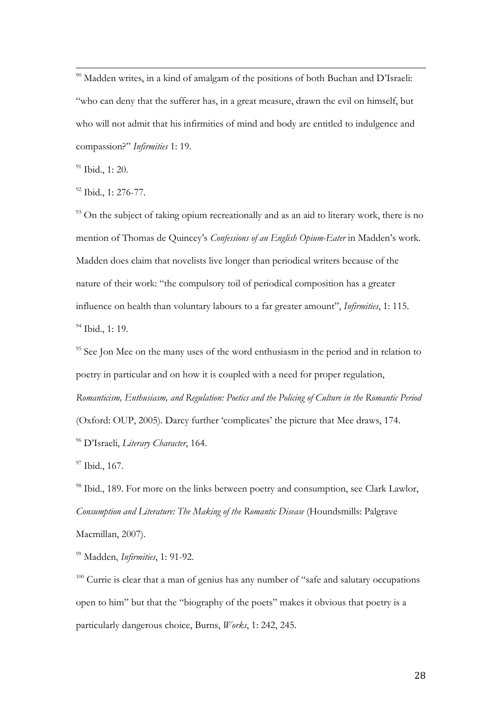<span id="page-27-2"></span><span id="page-27-1"></span><sup>90</sup> Madden writes, in a kind of amalgam of the positions of both Buchan and D'Israeli: "who can deny that the sufferer has, in a great measure, drawn the evil on himself, but who will not admit that his infirmities of mind and body are entitled to indulgence and compassion?" *Infirmities* 1: 19.

<span id="page-27-5"></span><span id="page-27-4"></span><span id="page-27-3"></span><sup>91</sup> Ibid., 1: 20.

<sup>92</sup> Ibid., 1: 276-77.

 $93$  On the subject of taking opium recreationally and as an aid to literary work, there is no mention of Thomas de Quincey's *Confessions of an English Opium-Eater* in Madden's work. Madden does claim that novelists live longer than periodical writers because of the nature of their work: "the compulsory toil of periodical composition has a greater influence on health than voluntary labours to a far greater amount", *Infirmities*, 1: 115. <sup>94</sup> Ibid., 1: 19.

<sup>95</sup> See Jon Mee on the many uses of the word enthusiasm in the period and in relation to poetry in particular and on how it is coupled with a need for proper regulation, *Romanticism, Enthusiasm, and Regulation: Poetics and the Policing of Culture in the Romantic Period* (Oxford: OUP, 2005). Darcy further 'complicates' the picture that Mee draws, 174. <sup>96</sup> D'Israeli, *Literary Character*, 164.

<sup>97</sup> Ibid., 167.

<sup>98</sup> Ibid., 189. For more on the links between poetry and consumption, see Clark Lawlor, *Consumption and Literature: The Making of the Romantic Disease* (Houndsmills: Palgrave Macmillan, 2007).

<sup>99</sup> Madden, *Infirmities*, 1: 91-92.

<span id="page-27-0"></span> $100$  Currie is clear that a man of genius has any number of "safe and salutary occupations" open to him" but that the "biography of the poets" makes it obvious that poetry is a particularly dangerous choice, Burns, *Works*, 1: 242, 245.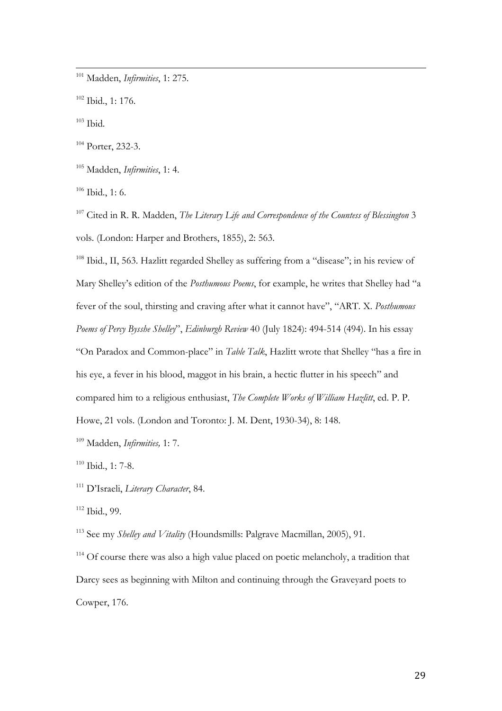<sup>101</sup> Madden, *Infirmities*, 1: 275.

<sup>102</sup> Ibid., 1: 176.

<span id="page-28-7"></span> $103$  Ibid.

<span id="page-28-8"></span><sup>104</sup> Porter, 232-3.

<span id="page-28-9"></span><sup>105</sup> Madden, *Infirmities*, 1: 4.

 $106$  Ibid., 1: 6.

<sup>107</sup> Cited in R. R. Madden, *The Literary Life and Correspondence of the Countess of Blessington* 3 vols. (London: Harper and Brothers, 1855), 2: 563.

<span id="page-28-0"></span><sup>108</sup> Ibid., II, 563. Hazlitt regarded Shelley as suffering from a "disease"; in his review of Mary Shelley's edition of the *Posthumous Poems*, for example, he writes that Shelley had "a fever of the soul, thirsting and craving after what it cannot have", "ART. X. *Posthumous Poems of Percy Bysshe Shelley*", *Edinburgh Review* 40 (July 1824): 494-514 (494). In his essay "On Paradox and Common-place" in *Table Talk*, Hazlitt wrote that Shelley "has a fire in his eye, a fever in his blood, maggot in his brain, a hectic flutter in his speech" and compared him to a religious enthusiast, *The Complete Works of William Hazlitt*, ed. P. P. Howe, 21 vols. (London and Toronto: J. M. Dent, 1930-34), 8: 148.

<span id="page-28-1"></span><sup>109</sup> Madden, *Infirmities,* 1: 7.

<sup>110</sup> Ibid., 1: 7-8.

<span id="page-28-2"></span><sup>111</sup> D'Israeli, *Literary Character*, 84.

<span id="page-28-3"></span><sup>112</sup> Ibid., 99.

<span id="page-28-4"></span><sup>113</sup> See my *Shelley and Vitality* (Houndsmills: Palgrave Macmillan, 2005), 91.

<span id="page-28-6"></span><span id="page-28-5"></span><sup>114</sup> Of course there was also a high value placed on poetic melancholy, a tradition that Darcy sees as beginning with Milton and continuing through the Graveyard poets to Cowper, 176.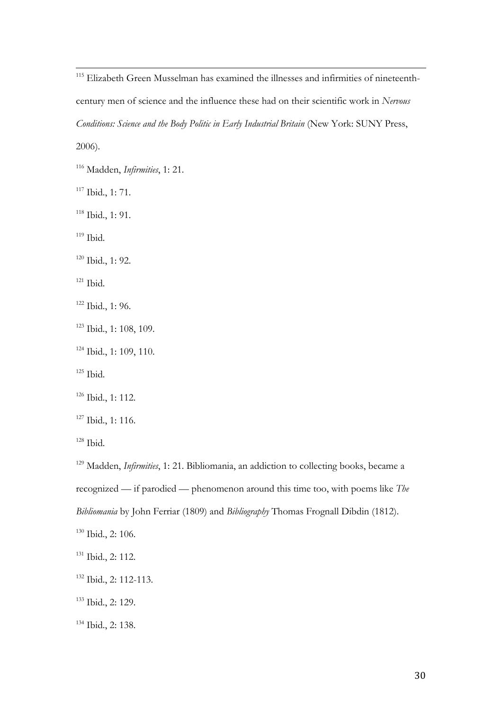<sup>115</sup> Elizabeth Green Musselman has examined the illnesses and infirmities of nineteenthcentury men of science and the influence these had on their scientific work in *Nervous Conditions: Science and the Body Politic in Early Industrial Britain* (New York: SUNY Press, 2006).

<sup>116</sup> Madden, *Infirmities*, 1: 21.

<span id="page-29-0"></span><sup>117</sup> Ibid., 1: 71.

<span id="page-29-1"></span><sup>118</sup> Ibid., 1: 91.

<span id="page-29-2"></span> $119$  Ibid.

<span id="page-29-3"></span><sup>120</sup> Ibid., 1: 92.

<span id="page-29-4"></span> $121$  Ibid.

<sup>122</sup> Ibid., 1: 96.

<sup>123</sup> Ibid., 1: 108, 109.

<sup>124</sup> Ibid., 1: 109, 110.

 $125$  Ibid.

<span id="page-29-5"></span><sup>126</sup> Ibid., 1: 112.

<span id="page-29-6"></span><sup>127</sup> Ibid., 1: 116.

 $128$  Ibid.

<sup>129</sup> Madden, *Infirmities*, 1: 21. Bibliomania, an addiction to collecting books, became a recognized — if parodied — phenomenon around this time too, with poems like *The Bibliomania* by John Ferriar (1809) and *Bibliography* Thomas Frognall Dibdin (1812).

<span id="page-29-7"></span><sup>130</sup> Ibid., 2: 106.

<sup>131</sup> Ibid., 2: 112.

<sup>132</sup> Ibid., 2: 112-113.

<sup>133</sup> Ibid., 2: 129.

<sup>134</sup> Ibid., 2: 138.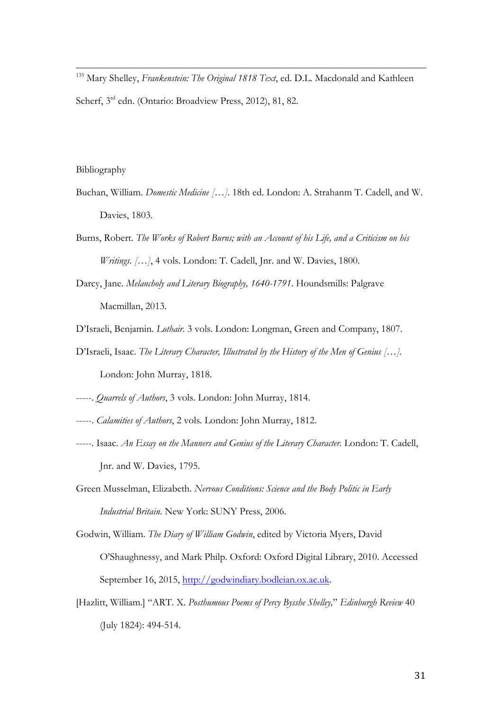<span id="page-30-1"></span> <sup>135</sup> Mary Shelley, *Frankenstein: The Original 1818 Text*, ed. D.L. Macdonald and Kathleen Scherf, 3<sup>rd</sup> edn. (Ontario: Broadview Press, 2012), 81, 82.

#### <span id="page-30-2"></span>Bibliography

- Buchan, William. *Domestic Medicine […]*. 18th ed. London: A. Strahanm T. Cadell, and W. Davies, 1803.
- Burns, Robert. *The Works of Robert Burns; with an Account of his Life, and a Criticism on his Writings.* [...], 4 vols. London: T. Cadell, Jnr. and W. Davies, 1800.
- Darcy, Jane. *Melancholy and Literary Biography, 1640-1791*. Houndsmills: Palgrave Macmillan, 2013.
- <span id="page-30-3"></span>D'Israeli, Benjamin. *Lothair*. 3 vols. London: Longman, Green and Company, 1807.
- <span id="page-30-5"></span><span id="page-30-4"></span>D'Israeli, Isaac. *The Literary Character, Illustrated by the History of the Men of Genius […].* London: John Murray, 1818.
- -----. *Quarrels of Authors*, 3 vols. London: John Murray, 1814.
- -----. *Calamities of Authors*, 2 vols. London: John Murray, 1812.
- -----. Isaac. *An Essay on the Manners and Genius of the Literary Character*. London: T. Cadell, Jnr. and W. Davies, 1795.
- Green Musselman, Elizabeth. *Nervous Conditions: Science and the Body Politic in Early Industrial Britain*. New York: SUNY Press, 2006.
- <span id="page-30-0"></span>Godwin, William. *The Diary of William Godwin*, edited by Victoria Myers, David O'Shaughnessy, and Mark Philp. Oxford: Oxford Digital Library, 2010. Accessed September 16, 2015, [http://godwindiary.bodleian.ox.ac.uk.](http://godwindiary.bodleian.ox.ac.uk/)
- [Hazlitt, William.] "ART. X. *Posthumous Poems of Percy Bysshe Shelley,*" *Edinburgh Review* 40 (July 1824): 494-514.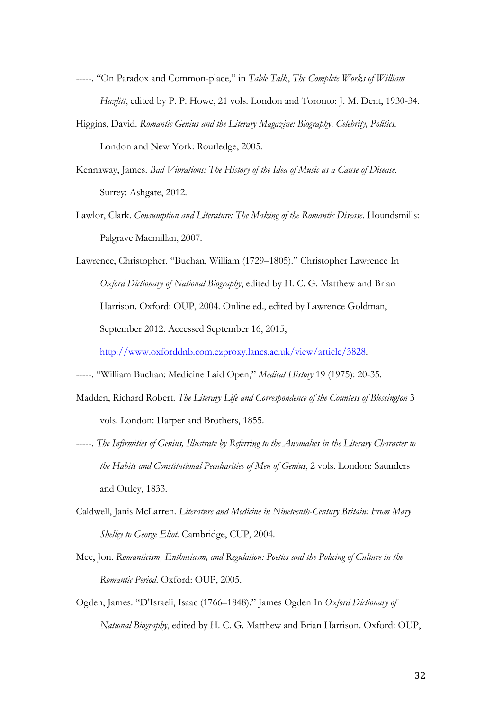- j -----. "On Paradox and Common-place," in *Table Talk*, *The Complete Works of William Hazlitt*, edited by P. P. Howe, 21 vols. London and Toronto: J. M. Dent, 1930-34.
- Higgins, David. *Romantic Genius and the Literary Magazine: Biography, Celebrity, Politics.*  London and New York: Routledge, 2005.
- Kennaway, James. *Bad Vibrations: The History of the Idea of Music as a Cause of Disease*. Surrey: Ashgate, 2012.
- Lawlor, Clark. *Consumption and Literature: The Making of the Romantic Disease*. Houndsmills: Palgrave Macmillan, 2007.

Lawrence, Christopher. "Buchan, William (1729–1805)." Christopher Lawrence In *Oxford Dictionary of National Biography*, edited by H. C. G. Matthew and Brian Harrison. Oxford: OUP, 2004. Online ed., edited by Lawrence Goldman, September 2012. Accessed September 16, 2015,

[http://www.oxforddnb.com.ezproxy.lancs.ac.uk/view/article/3828.](http://www.oxforddnb.com.ezproxy.lancs.ac.uk/view/article/3828)

-----. "William Buchan: Medicine Laid Open," *Medical History* 19 (1975): 20-35.

- <span id="page-31-1"></span><span id="page-31-0"></span>Madden, Richard Robert. *The Literary Life and Correspondence of the Countess of Blessington* 3 vols. London: Harper and Brothers, 1855.
- <span id="page-31-3"></span><span id="page-31-2"></span>-----. *The Infirmities of Genius, Illustrate by Referring to the Anomalies in the Literary Character to the Habits and Constitutional Peculiarities of Men of Genius*, 2 vols. London: Saunders and Ottley, 1833.
- Caldwell, Janis McLarren. *Literature and Medicine in Nineteenth-Century Britain: From Mary Shelley to George Eliot.* Cambridge, CUP, 2004.
- Mee, Jon. *Romanticism, Enthusiasm, and Regulation: Poetics and the Policing of Culture in the Romantic Period*. Oxford: OUP, 2005.
- Ogden, James. "D'Israeli, Isaac (1766–1848)." James Ogden In *Oxford Dictionary of National Biography*, edited by H. C. G. Matthew and Brian Harrison. Oxford: OUP,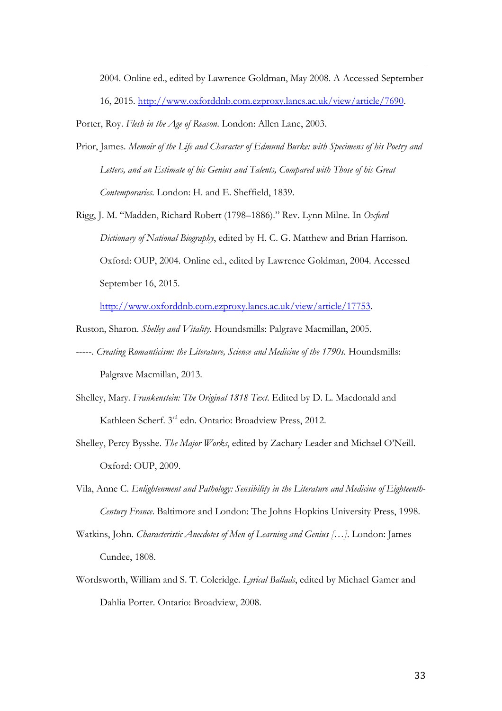2004. Online ed., edited by Lawrence Goldman, May 2008. A Accessed September

16, 2015. [http://www.oxforddnb.com.ezproxy.lancs.ac.uk/view/article/7690.](http://www.oxforddnb.com.ezproxy.lancs.ac.uk/view/article/7690)

Porter, Roy. *Flesh in the Age of Reason*. London: Allen Lane, 2003.

<span id="page-32-5"></span>j

- <span id="page-32-6"></span>Prior, James. *Memoir of the Life and Character of Edmund Burke: with Specimens of his Poetry and Letters, and an Estimate of his Genius and Talents, Compared with Those of his Great Contemporaries*. London: H. and E. Sheffield, 1839.
- <span id="page-32-7"></span>Rigg, J. M. "Madden, Richard Robert (1798–1886)." Rev. Lynn Milne. In *Oxford Dictionary of National Biography*, edited by H. C. G. Matthew and Brian Harrison. Oxford: OUP, 2004. Online ed., edited by Lawrence Goldman, 2004. Accessed September 16, 2015.

[http://www.oxforddnb.com.ezproxy.lancs.ac.uk/view/article/17753.](http://www.oxforddnb.com.ezproxy.lancs.ac.uk/view/article/17753)

- Ruston, Sharon. *Shelley and Vitality*. Houndsmills: Palgrave Macmillan, 2005.
- -----. *Creating Romanticism: the Literature, Science and Medicine of the 1790s*. Houndsmills: Palgrave Macmillan, 2013.
- Shelley, Mary. *Frankenstein: The Original 1818 Text*. Edited by D. L. Macdonald and Kathleen Scherf. 3rd edn. Ontario: Broadview Press, 2012.
- Shelley, Percy Bysshe. *The Major Works*, edited by Zachary Leader and Michael O'Neill. Oxford: OUP, 2009.
- <span id="page-32-0"></span>Vila, Anne C. *Enlightenment and Pathology: Sensibility in the Literature and Medicine of Eighteenth-Century France*. Baltimore and London: The Johns Hopkins University Press, 1998.
- <span id="page-32-2"></span><span id="page-32-1"></span>Watkins, John. *Characteristic Anecdotes of Men of Learning and Genius […]*. London: James Cundee, 1808.
- <span id="page-32-4"></span><span id="page-32-3"></span>Wordsworth, William and S. T. Coleridge. *Lyrical Ballads*, edited by Michael Gamer and Dahlia Porter. Ontario: Broadview, 2008.